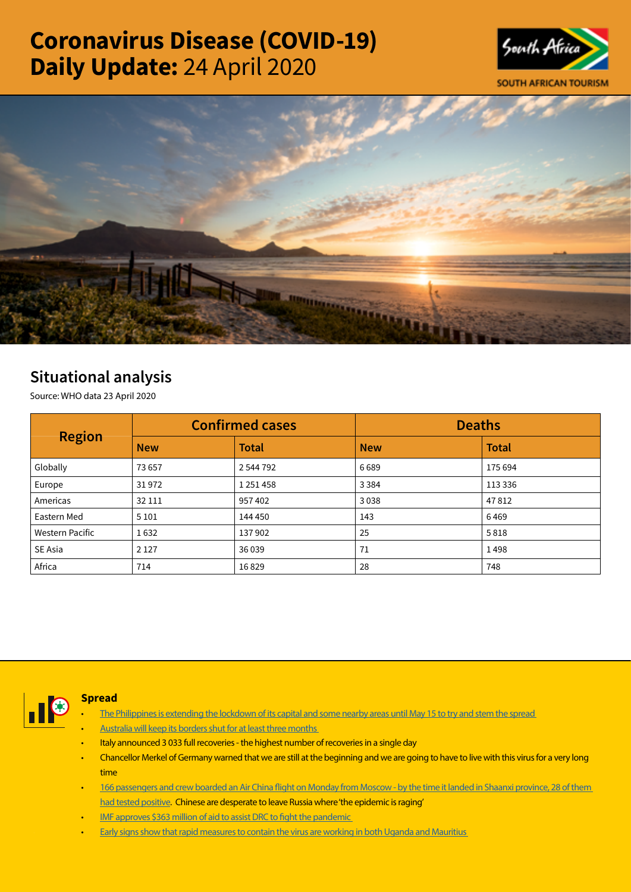# Coronavirus Disease (COVID-19) Daily Update: 24 April 2020





## Situational analysis

Source: WHO data 23 April 2020

| <b>Region</b>          | <b>Confirmed cases</b> |               | <b>Deaths</b> |              |
|------------------------|------------------------|---------------|---------------|--------------|
|                        | <b>New</b>             | <b>Total</b>  | <b>New</b>    | <b>Total</b> |
| Globally               | 73657                  | 2 544 792     | 6689          | 175 694      |
| Europe                 | 31972                  | 1 2 5 1 4 5 8 | 3 3 8 4       | 113 336      |
| Americas               | 32 111                 | 957402        | 3038          | 47812        |
| Eastern Med            | 5 1 0 1                | 144 450       | 143           | 6469         |
| <b>Western Pacific</b> | 1632                   | 137902        | 25            | 5818         |
| SE Asia                | 2 1 2 7                | 36 0 39       | 71            | 1498         |
| Africa                 | 714                    | 16829         | 28            | 748          |



## Spread

- The Philippines is extending the lockdown of its capital and some nearby areas until May 15 to try and stem the spread
- [Australia will keep its borders shut for at least three months](https://t.co/DqDL2oSpO1?amp=1)
- Italy announced 3 033 full recoveries the highest number of recoveries in a single day
- Chancellor Merkel of Germany warned that we are still at the beginning and we are going to have to live with this virus for a very long time
- [166 passengers and crew boarded an Air China flight on Monday from Moscow by the time it landed in Shaanxi province, 28 of them](https://t.co/DcEYdk83as?amp=1)  [had tested positive.](https://t.co/DcEYdk83as?amp=1) Chinese are desperate to leave Russia where 'the epidemic is raging'
- IMF approves \$363 million of aid to assist DRC to fight the pandemic
- [Early signs show that rapid measures to contain the virus are working in both Uganda and Mauritius](https://t.co/HFGptzo7sy?amp=1)